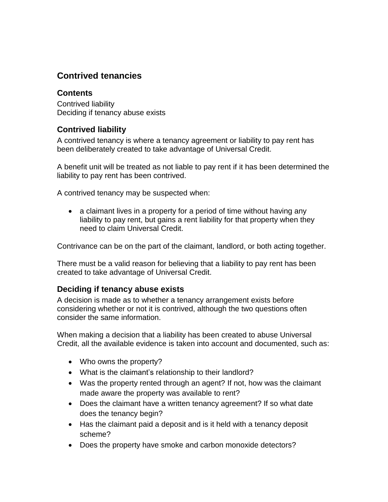## **Contrived tenancies**

## **Contents**

[Contrived liability](#page-0-0) [Deciding if tenancy abuse exists](#page-0-1)

## <span id="page-0-0"></span>**Contrived liability**

A contrived tenancy is where a tenancy agreement or liability to pay rent has been deliberately created to take advantage of Universal Credit.

A benefit unit will be treated as not liable to pay rent if it has been determined the liability to pay rent has been contrived.

A contrived tenancy may be suspected when:

• a claimant lives in a property for a period of time without having any liability to pay rent, but gains a rent liability for that property when they need to claim Universal Credit.

Contrivance can be on the part of the claimant, landlord, or both acting together.

There must be a valid reason for believing that a liability to pay rent has been created to take advantage of Universal Credit.

## <span id="page-0-1"></span>**Deciding if tenancy abuse exists**

A decision is made as to whether a tenancy arrangement exists before considering whether or not it is contrived, although the two questions often consider the same information.

When making a decision that a liability has been created to abuse Universal Credit, all the available evidence is taken into account and documented, such as:

- Who owns the property?
- What is the claimant's relationship to their landlord?
- Was the property rented through an agent? If not, how was the claimant made aware the property was available to rent?
- Does the claimant have a written tenancy agreement? If so what date does the tenancy begin?
- Has the claimant paid a deposit and is it held with a tenancy deposit scheme?
- Does the property have smoke and carbon monoxide detectors?